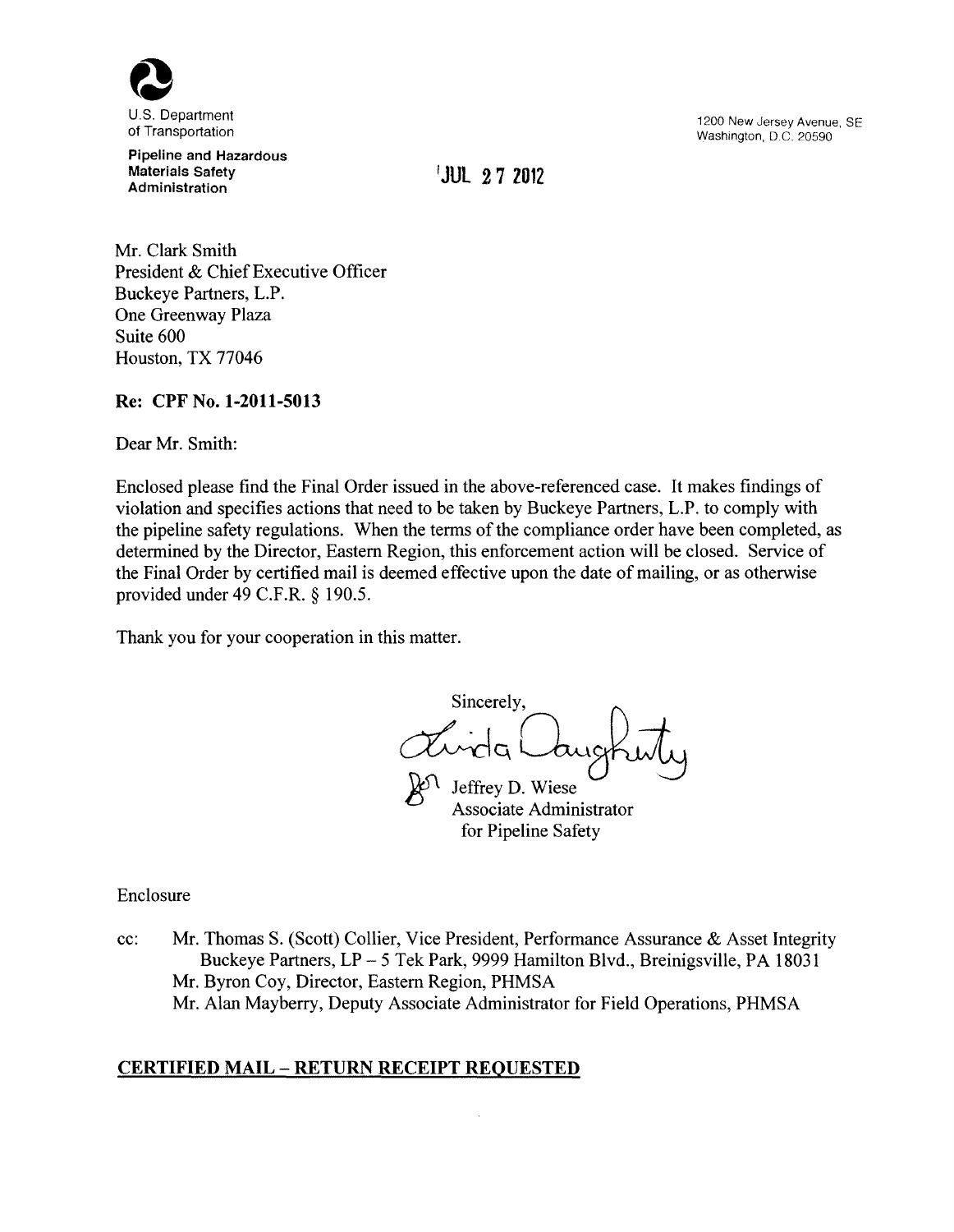

Pipeline and Hazardous Materials Safety **Administration** 

**'JUL 2 7 Z012** 

1200 New Jersey Avenue, SE Washington, D.C. 20590

Mr. Clark Smith President & Chief Executive Officer Buckeye Partners, L.P. One Greenway Plaza Suite 600 Houston, TX 77046

## **Re: CPF** No. **1-2011-5013**

Dear Mr. Smith:

Enclosed please find the Final Order issued in the above-referenced case. It makes findings of violation and specifies actions that need to be taken by Buckeye Partners, L.P. to comply with the pipeline safety regulations. When the terms of the compliance order have been completed, as determined by the Director, Eastern Region, this enforcement action will be closed. Service of the Final Order by certified mail is deemed effective upon the date of mailing, or as otherwise provided under 49 C.F.R. § 190.5.

Thank you for your cooperation in this matter.

Sincerely, dirda Cauchiti

Jeffrey D. Wiese Associate Administrator for Pipeline Safety

Enclosure

cc: Mr. Thomas S. (Scott) Collier, Vice President, Performance Assurance & Asset Integrity Buckeye Partners, LP - 5 Tek Park, 9999 Hamilton Blvd., Breinigsville, PA 18031 Mr. Byron Coy, Director, Eastern Region, PHMSA Mr. Alan Mayberry, Deputy Associate Administrator for Field Operations, PHMSA

# **CERTIFIED MAIL- RETURN RECEIPT REQUESTED**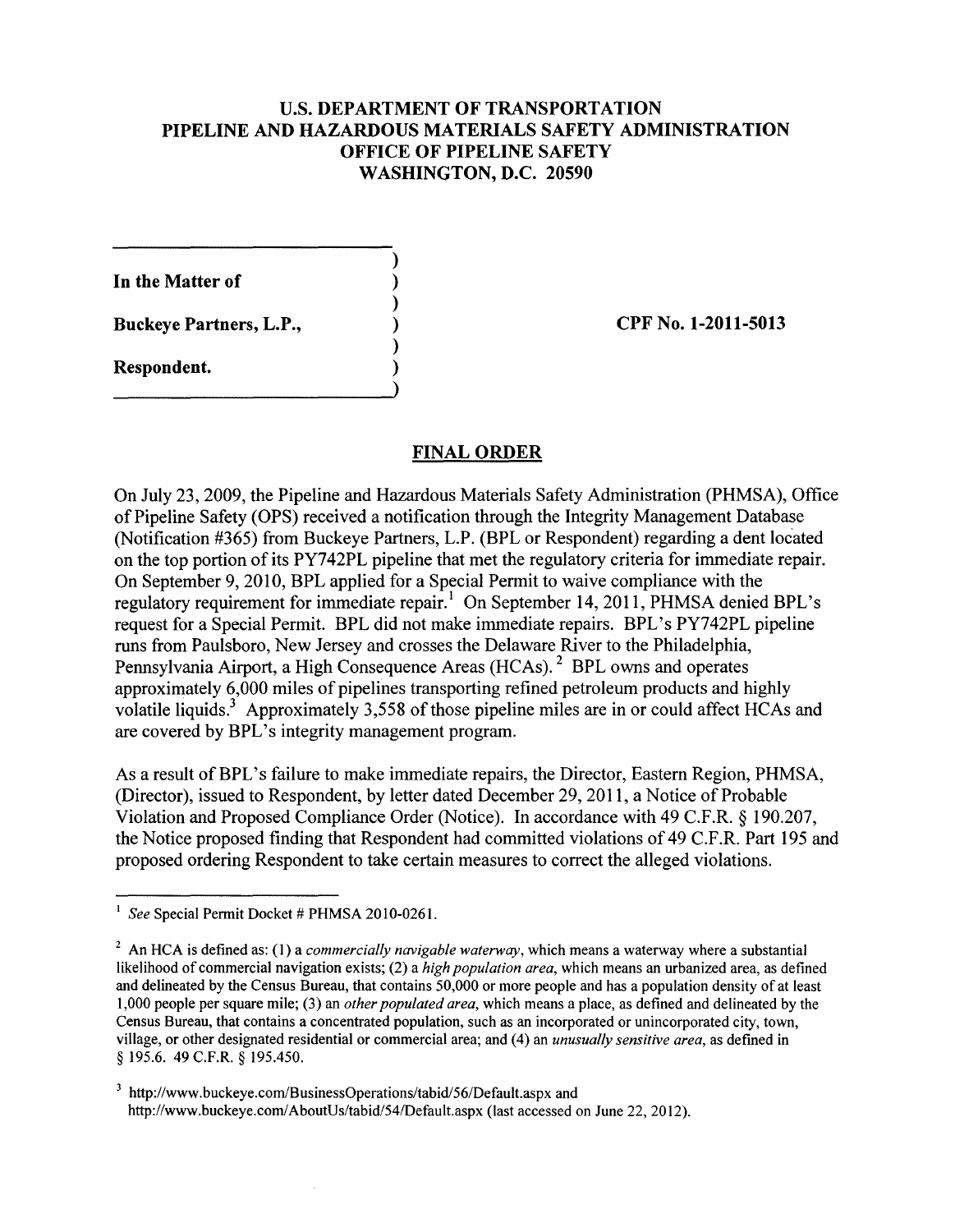## U.S. **DEPARTMENT OF TRANSPORTATION PIPELINE AND HAZARDOUS MATERIALS SAFETY ADMINISTRATION OFFICE OF PIPELINE SAFETY WASHINGTON, D.C. 20590**

) ) ) ) ) )

**In the Matter of** 

**Buckeye Partners, L.P.,** 

**Respondent.** 

**CPF** No. **1-2011-5013** 

## **FINAL ORDER**

On July 23, 2009, the Pipeline and Hazardous Materials Safety Administration (PHMSA), Office of Pipeline Safety (OPS) received a notification through the Integrity Management Database (Notification #365) from Buckeye Partners, L.P. (BPL or Respondent) regarding a dent located on the top portion of its PY742PL pipeline that met the regulatory criteria for immediate repair. On September 9, 2010, BPL applied for a Special Permit to waive compliance with the regulatory requirement for immediate repair.<sup>1</sup> On September 14, 2011, PHMSA denied BPL's request for a Special Permit. BPL did not make immediate repairs. BPL's PY742PL pipeline runs from Paulsboro, New Jersey and crosses the Delaware River to the Philadelphia, Pennsylvania Airport, a High Consequence Areas (HCAs). 2 BPL owns and operates approximately 6,000 miles of pipelines transporting refined petroleum products and highly volatile liquids.<sup>3</sup> Approximately 3,558 of those pipeline miles are in or could affect HCAs and are covered by BPL's integrity management program.

As a result of BPL's failure to make immediate repairs, the Director, Eastern Region, PHMSA, (Director), issued to Respondent, by letter dated December 29, 2011, a Notice of Probable Violation and Proposed Compliance Order (Notice). In accordance with 49 C.F.R. § 190.207, the Notice proposed finding that Respondent had committed violations of 49 C.F .R. Part 195 and proposed ordering Respondent to take certain measures to correct the alleged violations.

<sup>&</sup>lt;sup>1</sup> See Special Permit Docket # PHMSA 2010-0261.

<sup>2</sup> An HCA is defined as: (1) a *commercially navigable waterway,* which means a waterway where a substantial likelihood of commercial navigation exists; (2) a *high population area,* which means an urbanized area, as defined and delineated by the Census Bureau, that contains 50,000 or more people and has a population density of at least 1,000 people per square mile; (3) an *other populated area,* which means a place, as defined and delineated by the Census Bureau, that contains a concentrated population, such as an incorporated or unincorporated city, town, village, or other designated residential or commercial area; and (4) an *unusually sensitive area,* as defmed in § 195.6. 49 C.F.R. § 195.450.

<sup>&</sup>lt;sup>3</sup> http://www.buckeye.com/BusinessOperations/tabid/56/Default.aspx and http://www.buckeye.com/AboutUs/tabid/54/Default.aspx (last accessed on June 22, 2012).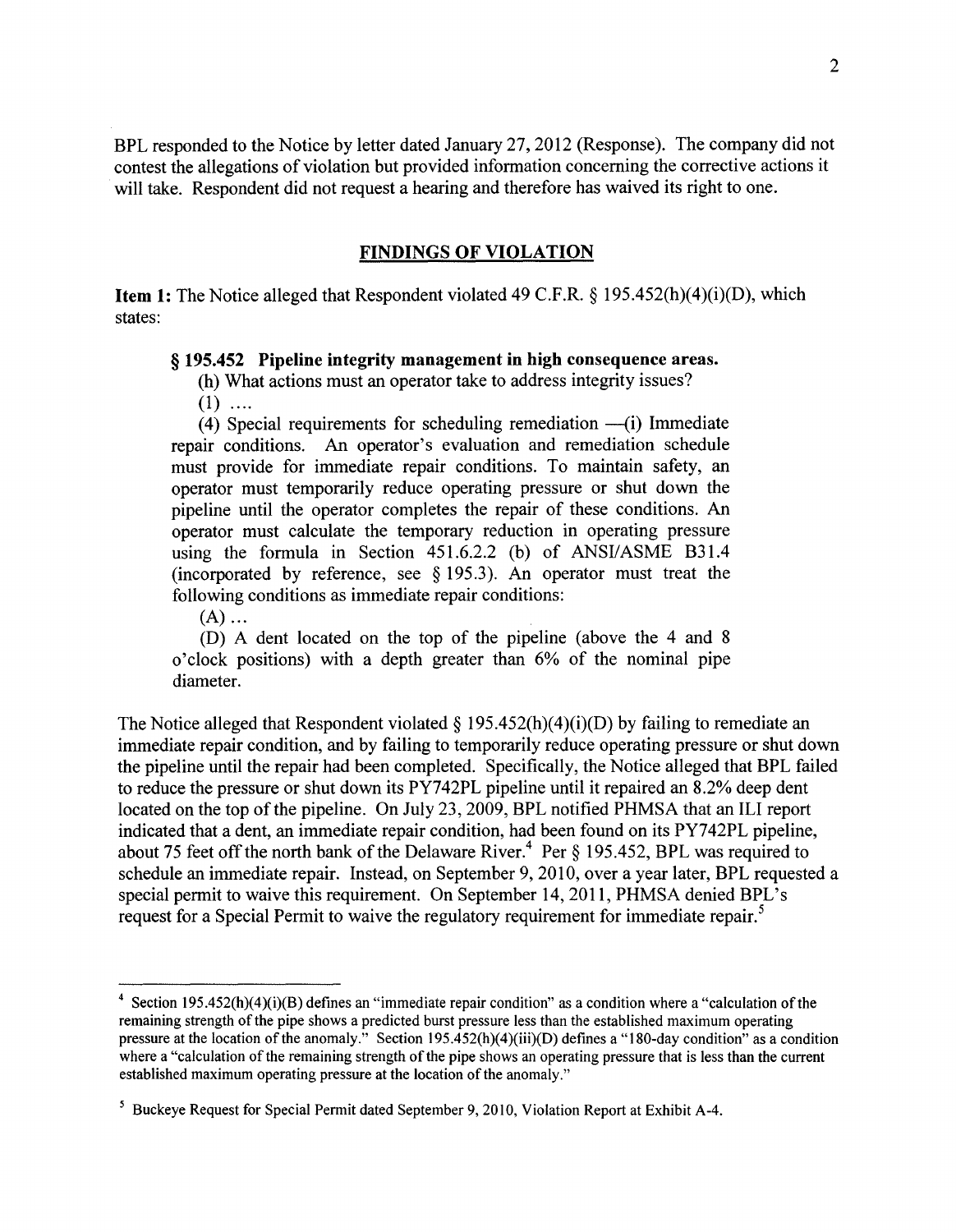BPL responded to the Notice by letter dated January 27, 2012 (Response). The company did not contest the allegations of violation but provided information concerning the corrective actions it will take. Respondent did not request a hearing and therefore has waived its right to one.

#### FINDINGS OF VIOLATION

**Item 1:** The Notice alleged that Respondent violated 49 C.F.R.  $\S$  195.452(h)(4)(i)(D), which states:

#### § 195.452 Pipeline integrity management in high consequence areas.

(h) What actions must an operator take to address integrity issues?

 $(1)$  ....

(4) Special requirements for scheduling remediation  $-(i)$  Immediate repair conditions. An operator's evaluation and remediation schedule must provide for immediate repair conditions. To maintain safety, an operator must temporarily reduce operating pressure or shut down the pipeline until the operator completes the repair of these conditions. An operator must calculate the temporary reduction in operating pressure using the formula in Section 451.6.2.2 (b) of ANSI/ASME B31.4 (incorporated by reference, see  $\S$  195.3). An operator must treat the following conditions as immediate repair conditions:

 $(A)$  ...

(D) A dent located on the top of the pipeline (above the 4 and 8 o'clock positions) with a depth greater than 6% of the nominal pipe diameter.

The Notice alleged that Respondent violated § 195.452(h)(4)(i)(D) by failing to remediate an immediate repair condition, and by failing to temporarily reduce operating pressure or shut down the pipeline until the repair had been completed. Specifically, the Notice alleged that BPL failed to reduce the pressure or shut down its PY742PL pipeline until it repaired an 8.2% deep dent located on the top of the pipeline. On July 23, 2009, BPL notified PHMSA that an ILI report indicated that a dent, an immediate repair condition, had been found on its PY742PL pipeline, about 75 feet off the north bank of the Delaware River.<sup>4</sup> Per  $\S$  195.452, BPL was required to schedule an immediate repair. Instead, on September 9, 2010, over a year later, BPL requested a special permit to waive this requirement. On September 14, 2011, PHMSA denied BPL's request for a Special Permit to waive the regulatory requirement for immediate repair.<sup>5</sup>

<sup>&</sup>lt;sup>4</sup> Section 195.452(h)(4)(i)(B) defines an "immediate repair condition" as a condition where a "calculation of the remaining strength of the pipe shows a predicted burst pressure less than the established maximum operating pressure at the location of the anomaly." Section 195.452(h)(4)(iii)(D) defmes a "180-day condition" as a condition where a "calculation of the remaining strength of the pipe shows an operating pressure that is less than the current established maximum operating pressure at the location of the anomaly."

<sup>&</sup>lt;sup>5</sup> Buckeye Request for Special Permit dated September 9, 2010, Violation Report at Exhibit A-4.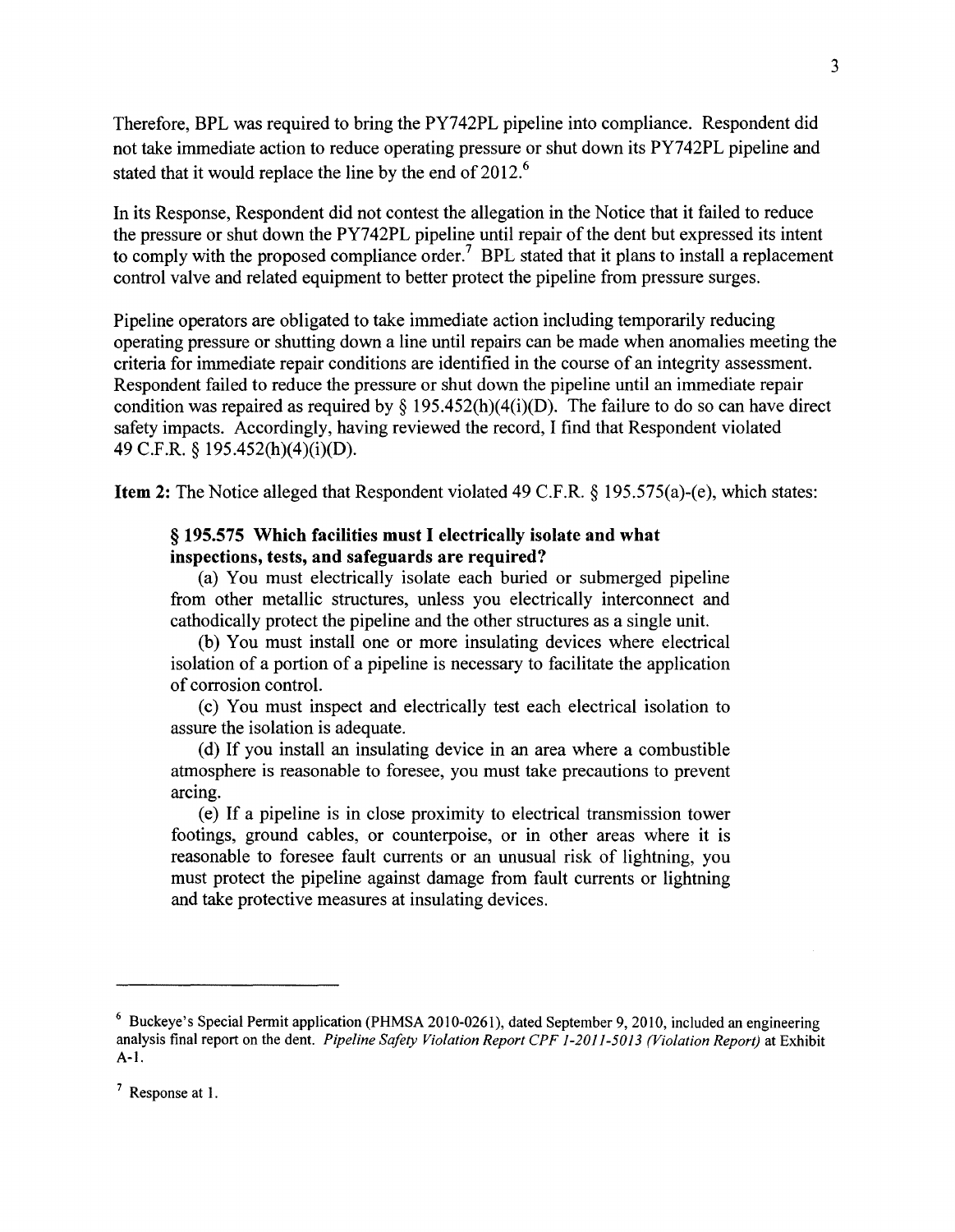Therefore, BPL was required to bring the PY742PL pipeline into compliance. Respondent did not take immediate action to reduce operating pressure or shut down its PY742PL pipeline and stated that it would replace the line by the end of 2012.<sup>6</sup>

In its Response, Respondent did not contest the allegation in the Notice that it failed to reduce the pressure or shut down the PY742PL pipeline until repair of the dent but expressed its intent to comply with the proposed compliance order.<sup>7</sup> BPL stated that it plans to install a replacement control valve and related equipment to better protect the pipeline from pressure surges.

Pipeline operators are obligated to take immediate action including temporarily reducing operating pressure or shutting down a line until repairs can be made when anomalies meeting the criteria for immediate repair conditions are identified in the course of an integrity assessment. Respondent failed to reduce the pressure or shut down the pipeline until an immediate repair condition was repaired as required by  $\S$  195.452(h)(4(i)(D). The failure to do so can have direct safety impacts. Accordingly, having reviewed the record, I find that Respondent violated 49 C.F.R. § 195.452(h)(4)(i)(D).

Item 2: The Notice alleged that Respondent violated 49 C.F.R. § 195.575(a)-(e), which states:

### § 195.575 Which facilities must I electrically isolate and what inspections, tests, and safeguards are required?

(a) You must electrically isolate each buried or submerged pipeline from other metallic structures, unless you electrically interconnect and cathodically protect the pipeline and the other structures as a single unit.

(b) You must install one or more insulating devices where electrical isolation of a portion of a pipeline is necessary to facilitate the application of corrosion control.

(c) You must inspect and electrically test each electrical isolation to assure the isolation is adequate.

(d) If you install an insulating device in an area where a combustible atmosphere is reasonable to foresee, you must take precautions to prevent arcing.

(e) If a pipeline is in close proximity to electrical transmission tower footings, ground cables, or counterpoise, or in other areas where it is reasonable to foresee fault currents or an unusual risk of lightning, you must protect the pipeline against damage from fault currents or lightning and take protective measures at insulating devices.

<sup>6</sup> Buckeye's Special Permit application (PHMSA 2010-0261), dated September 9, 2010, included an engineering analysis final report on the dent. *Pipeline Safety Violation Report CPF 1-2011-5013 (Violation Report)* at Exhibit A-1.

<sup>7</sup> Response at I.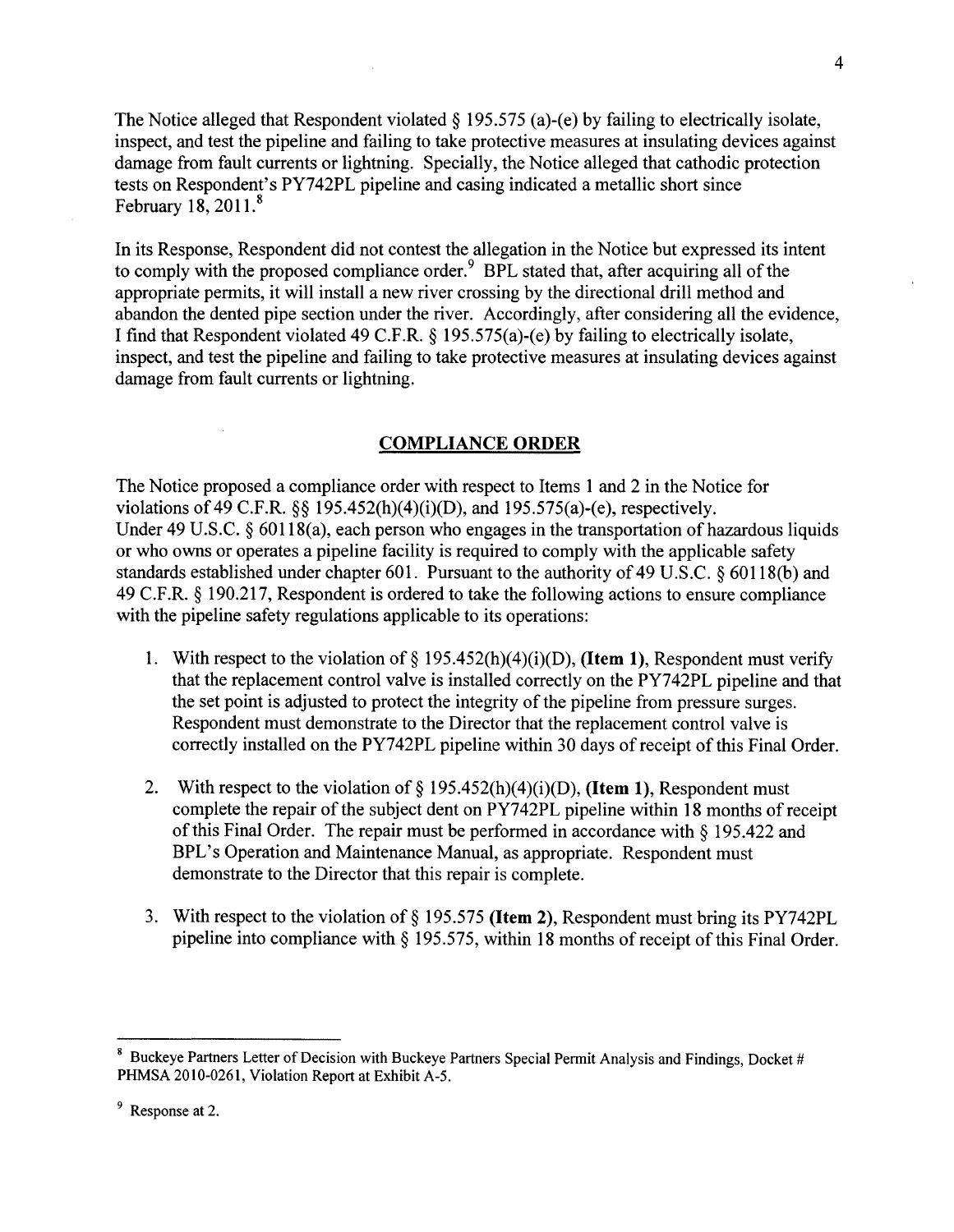The Notice alleged that Respondent violated  $\S$  195.575 (a)-(e) by failing to electrically isolate, inspect, and test the pipeline and failing to take protective measures at insulating devices against damage from fault currents or lightning. Specially, the Notice alleged that cathodic protection tests on Respondent's PY742PL pipeline and casing indicated a metallic short since February 18, 2011.<sup>8</sup>

In its Response, Respondent did not contest the allegation in the Notice but expressed its intent to comply with the proposed compliance order.  $9$  BPL stated that, after acquiring all of the appropriate permits, it will install a new river crossing by the directional drill method and abandon the dented pipe section under the river. Accordingly, after considering all the evidence, I find that Respondent violated 49 C.F.R. § 195.575(a)-(e) by failing to electrically isolate, inspect, and test the pipeline and failing to take protective measures at insulating devices against damage from fault currents or lightning.

### **COMPLIANCE ORDER**

The Notice proposed a compliance order with respect to Items 1 and 2 in the Notice for violations of 49 C.F.R.  $\S$ § 195.452(h)(4)(i)(D), and 195.575(a)-(e), respectively. Under 49 U.S.C. § 60118(a), each person who engages in the transportation of hazardous liquids or who owns or operates a pipeline facility is required to comply with the applicable safety standards established under chapter 601. Pursuant to the authority of 49 U.S.C. § 60118(b) and 49 C.F.R. § 190.217, Respondent is ordered to take the following actions to ensure compliance with the pipeline safety regulations applicable to its operations:

- 1. With respect to the violation of§ 195.452(h)(4)(i)(D), **(Item 1),** Respondent must verify that the replacement control valve is installed correctly on the PY742PL pipeline and that the set point is adjusted to protect the integrity of the pipeline from pressure surges. Respondent must demonstrate to the Director that the replacement control valve is correctly installed on the PY742PL pipeline within 30 days of receipt of this Final Order.
- 2. With respect to the violation of§ 195.452(h)(4)(i)(D), **(Item 1),** Respondent must complete the repair of the subject dent on PY742PL pipeline within 18 months of receipt of this Final Order. The repair must be performed in accordance with § 195.422 and BPL's Operation and Maintenance Manual, as appropriate. Respondent must demonstrate to the Director that this repair is complete.
- 3. With respect to the violation of§ 195.575 **(Item 2),** Respondent must bring its PY742PL pipeline into compliance with § 195.575, within 18 months of receipt of this Final Order.

<sup>&</sup>lt;sup>8</sup> Buckeye Partners Letter of Decision with Buckeye Partners Special Permit Analysis and Findings, Docket # PHMSA 2010-0261, Violation Report at Exhibit A-5.

<sup>&</sup>lt;sup>9</sup> Response at 2.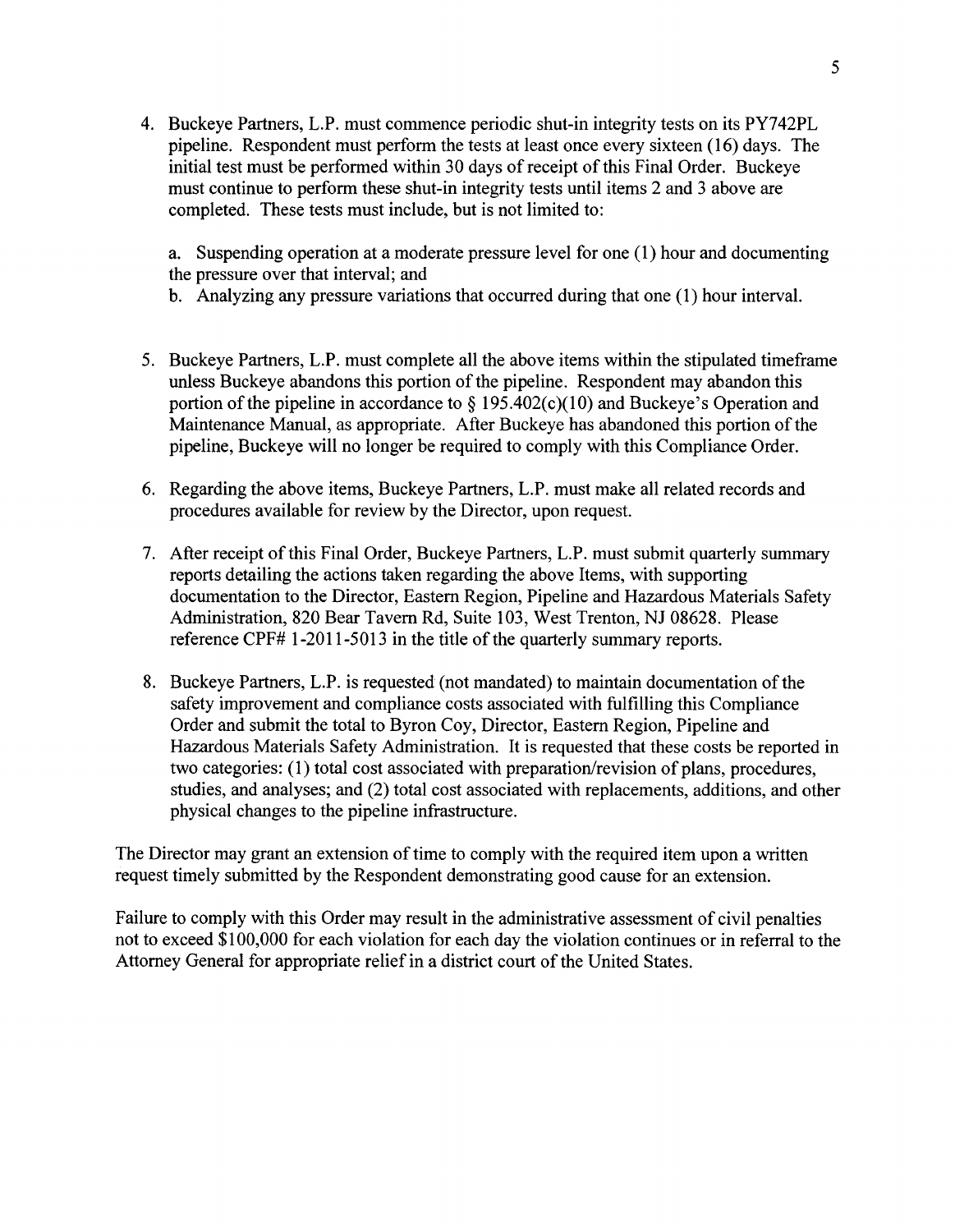4. Buckeye Partners, L.P. must commence periodic shut-in integrity tests on its PY742PL pipeline. Respondent must perform the tests at least once every sixteen (16) days. The initial test must be performed within 30 days of receipt of this Final Order. Buckeye must continue to perform these shut-in integrity tests until items 2 and 3 above are completed. These tests must include, but is not limited to:

a. Suspending operation at a moderate pressure level for one (1) hour and documenting the pressure over that interval; and

- b. Analyzing any pressure variations that occurred during that one (1) hour interval.
- 5. Buckeye Partners, L.P. must complete all the above items within the stipulated timeframe unless Buckeye abandons this portion of the pipeline. Respondent may abandon this portion of the pipeline in accordance to  $\S 195.402(c)(10)$  and Buckeye's Operation and Maintenance Manual, as appropriate. After Buckeye has abandoned this portion of the pipeline, Buckeye will no longer be required to comply with this Compliance Order.
- 6. Regarding the above items, Buckeye Partners, L.P. must make all related records and procedures available for review by the Director, upon request.
- 7. After receipt of this Final Order, Buckeye Partners, L.P. must submit quarterly summary reports detailing the actions taken regarding the above Items, with supporting documentation to the Director, Eastern Region, Pipeline and Hazardous Materials Safety Administration, 820 Bear Tavern Rd, Suite 103, West Trenton, NJ 08628. Please reference CPF# 1-2011-5013 in the title of the quarterly summary reports.
- 8. Buckeye Partners, L.P. is requested (not mandated) to maintain documentation of the safety improvement and compliance costs associated with fulfilling this Compliance Order and submit the total to Byron Coy, Director, Eastern Region, Pipeline and Hazardous Materials Safety Administration. It is requested that these costs be reported in two categories: (1) total cost associated with preparation/revision of plans, procedures, studies, and analyses; and (2) total cost associated with replacements, additions, and other physical changes to the pipeline infrastructure.

The Director may grant an extension of time to comply with the required item upon a written request timely submitted by the Respondent demonstrating good cause for an extension.

Failure to comply with this Order may result in the administrative assessment of civil penalties not to exceed \$100,000 for each violation for each day the violation continues or in referral to the Attorney General for appropriate relief in a district court of the United States.